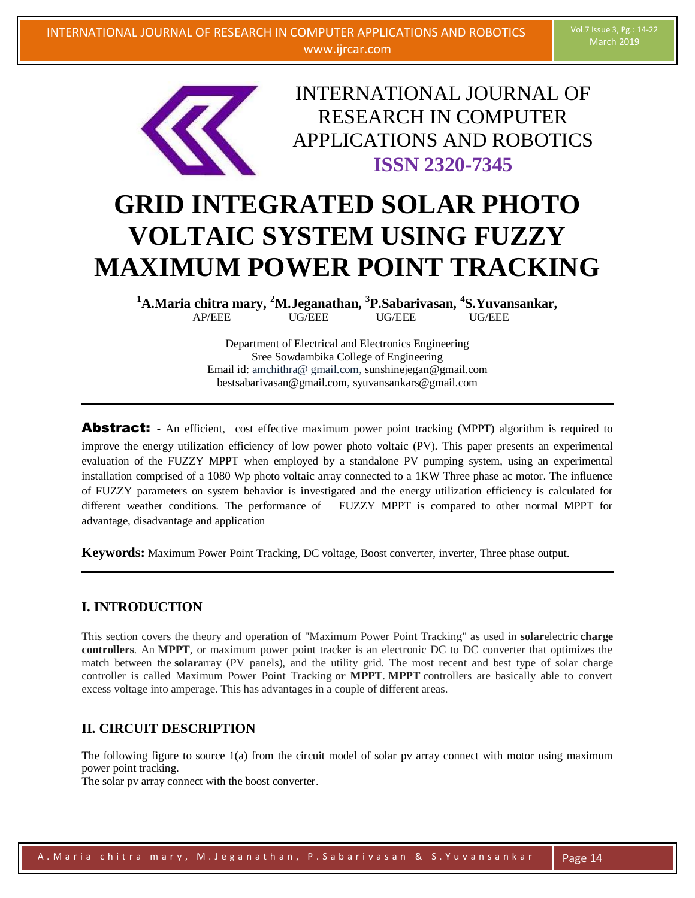

INTERNATIONAL JOURNAL OF RESEARCH IN COMPUTER APPLICATIONS AND ROBOTICS **ISSN 2320-7345**

# **GRID INTEGRATED SOLAR PHOTO VOLTAIC SYSTEM USING FUZZY MAXIMUM POWER POINT TRACKING**

**<sup>1</sup>A.Maria chitra mary, <sup>2</sup>M.Jeganathan, 3 P.Sabarivasan, <sup>4</sup> S.Yuvansankar,** AP/EEE UG/EEE UG/EEE UG/EEE

> Department of Electrical and Electronics Engineering Sree Sowdambika College of Engineering Email id: amchithra@ gmail.com, sunshinejegan@gmail.com bestsabarivasan@gmail.com, syuvansankars@gmail.com

**Abstract:** - An efficient, cost effective maximum power point tracking (MPPT) algorithm is required to improve the energy utilization efficiency of low power photo voltaic (PV). This paper presents an experimental evaluation of the FUZZY MPPT when employed by a standalone PV pumping system, using an experimental installation comprised of a 1080 Wp photo voltaic array connected to a 1KW Three phase ac motor. The influence of FUZZY parameters on system behavior is investigated and the energy utilization efficiency is calculated for different weather conditions. The performance of FUZZY MPPT is compared to other normal MPPT for advantage, disadvantage and application

**Keywords:** Maximum Power Point Tracking, DC voltage, Boost converter, inverter, Three phase output.

## **I. INTRODUCTION**

This section covers the theory and operation of "Maximum Power Point Tracking" as used in **solar**electric **charge controllers**. An **MPPT**, or maximum power point tracker is an electronic DC to DC converter that optimizes the match between the **solar**array (PV panels), and the utility grid. The most recent and best type of solar charge controller is called Maximum Power Point Tracking **or MPPT**. **MPPT** controllers are basically able to convert excess voltage into amperage. This has advantages in a couple of different areas.

## **II. CIRCUIT DESCRIPTION**

The following figure to source 1(a) from the circuit model of solar pv array connect with motor using maximum power point tracking.

The solar pv array connect with the boost converter.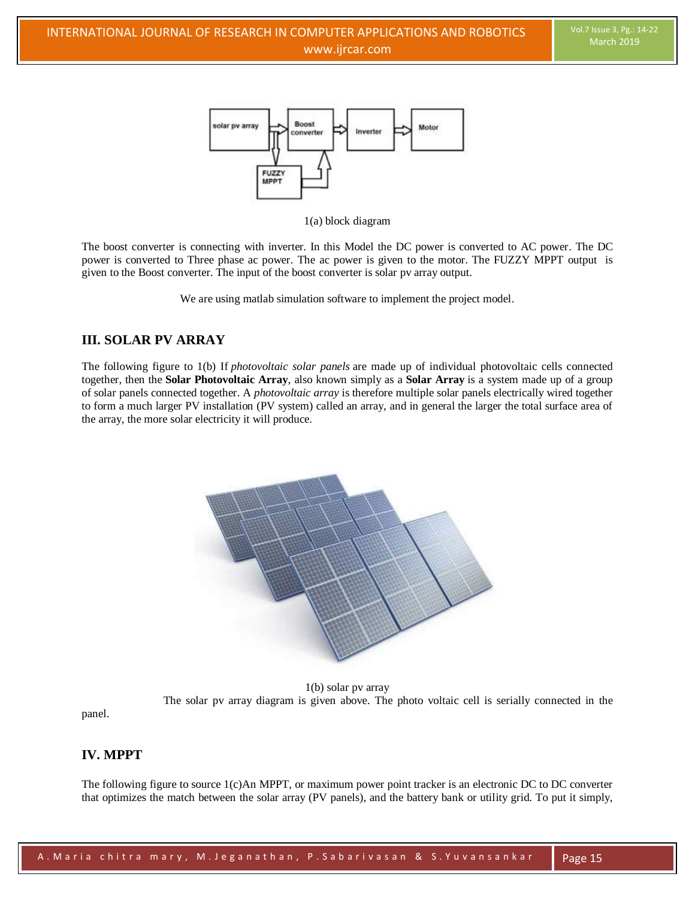

1(a) block diagram

The boost converter is connecting with inverter. In this Model the DC power is converted to AC power. The DC power is converted to Three phase ac power. The ac power is given to the motor. The FUZZY MPPT output is given to the Boost converter. The input of the boost converter is solar pv array output.

We are using matlab simulation software to implement the project model.

# **III. SOLAR PV ARRAY**

The following figure to 1(b) If *photovoltaic solar panels* are made up of individual photovoltaic cells connected together, then the **Solar Photovoltaic Array**, also known simply as a **Solar Array** is a system made up of a group of solar panels connected together. A *photovoltaic array* is therefore multiple solar panels electrically wired together to form a much larger PV installation (PV system) called an array, and in general the larger the total surface area of the array, the more solar electricity it will produce.



1(b) solar pv array The solar pv array diagram is given above. The photo voltaic cell is serially connected in the

panel.

## **IV. MPPT**

The following figure to source 1(c)An MPPT, or maximum power point tracker is an electronic DC to DC converter that optimizes the match between the solar array (PV panels), and the battery bank or utility grid. To put it simply,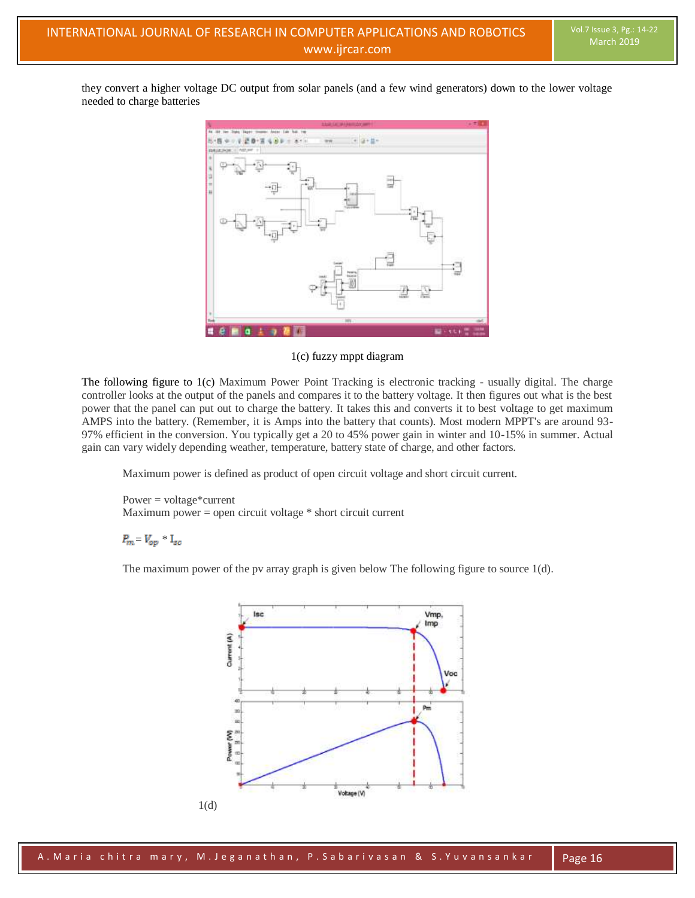they convert a higher voltage DC output from solar panels (and a few wind generators) down to the lower voltage needed to charge batteries



1(c) fuzzy mppt diagram

The following figure to 1(c) Maximum Power Point Tracking is electronic tracking - usually digital. The charge controller looks at the output of the panels and compares it to the battery voltage. It then figures out what is the best power that the panel can put out to charge the battery. It takes this and converts it to best voltage to get maximum AMPS into the battery. (Remember, it is Amps into the battery that counts). Most modern MPPT's are around 93- 97% efficient in the conversion. You typically get a 20 to 45% power gain in winter and 10-15% in summer. Actual gain can vary widely depending weather, temperature, battery state of charge, and other factors.

Maximum power is defined as product of open circuit voltage and short circuit current.

 $Power = voltage*current$ Maximum power = open circuit voltage \* short circuit current

 $P_m = V_{op} * I_{sc}$ 

The maximum power of the pv array graph is given below The following figure to source  $1(d)$ .

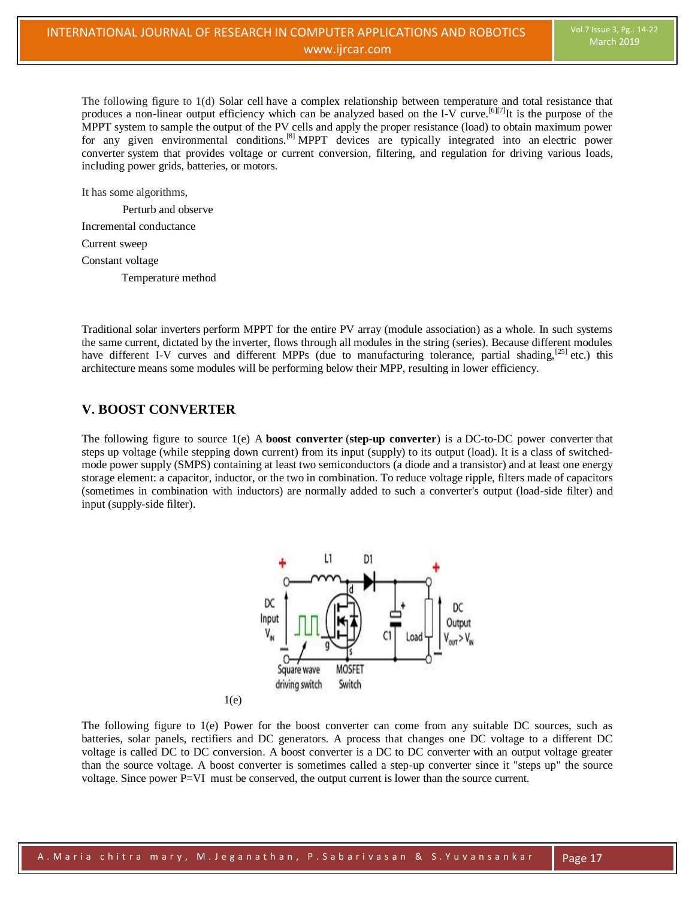The following figure to 1(d) Solar cell have a complex relationship between temperature and total resistance that produces a non-linear output efficiency which can be analyzed based on the [I-V curve.](https://en.wikipedia.org/wiki/Current%E2%80%93voltage_characteristic)<sup>[\[6\]\[7\]](https://en.wikipedia.org/wiki/Maximum_power_point_tracking#cite_note-Seyedmahmoudian_402%E2%80%93414-6)</sup>It is the purpose of the MPPT system to sample the output of the PV cells and apply the proper resistance (load) to obtain maximum power for any given environmental conditions.[\[8\]](https://en.wikipedia.org/wiki/Maximum_power_point_tracking#cite_note-8) MPPT devices are typically integrated into an [electric power](https://en.wikipedia.org/wiki/Electric_power_converter)  [converter](https://en.wikipedia.org/wiki/Electric_power_converter) system that provides voltage or current conversion, filtering, and regulation for driving various loads, including power grids, batteries, or motors.

It has some algorithms,

Perturb and observe

Incremental conductance

Current sweep

Constant voltage

Temperature method

Traditional [solar inverters](https://en.wikipedia.org/wiki/Solar_inverter) perform MPPT for the entire PV array (module association) as a whole. In such systems the same current, dictated by the inverter, flows through all modules in the string (series). Because different modules have different I-V curves and different MPPs (due to manufacturing tolerance, partial shading,  $[25]$  etc.) this architecture means some modules will be performing below their MPP, resulting in lower efficiency.

## **V. BOOST CONVERTER**

The following figure to source 1(e) A **boost converter** (**step-up converter**) is a [DC-to-DC power converter](https://en.wikipedia.org/wiki/DC-to-DC_converter) that steps up voltage (while stepping down current) from its input (supply) to its output (load). It is a class of [switched](https://en.wikipedia.org/wiki/Switched-mode_power_supply)[mode power supply](https://en.wikipedia.org/wiki/Switched-mode_power_supply) (SMPS) containing at least two semiconductors (a [diode](https://en.wikipedia.org/wiki/Diode) and a [transistor\)](https://en.wikipedia.org/wiki/Transistor) and at least one energy storage element: a [capacitor,](https://en.wikipedia.org/wiki/Capacitor) [inductor,](https://en.wikipedia.org/wiki/Inductor) or the two in combination. To reduce [voltage ripple,](https://en.wikipedia.org/wiki/Ripple_(electrical)) filters made of capacitors (sometimes in combination with inductors) are normally added to such a converter's output (load-side filter) and input (supply-side filter).



 $1(e)$ 

The following figure to 1(e) Power for the boost converter can come from any suitable DC sources, such as batteries, solar panels, rectifiers and DC generators. A process that changes one DC voltage to a different DC voltage is called DC to DC conversion. A boost converter is a [DC to DC converter](https://en.wikipedia.org/wiki/DC_to_DC_converter) with an output voltage greater than the source voltage. A boost converter is sometimes called a step-up converter since it "steps up" the source voltage. Since power P=VI [must be conserved,](https://en.wikipedia.org/wiki/Law_of_conservation_of_energy) the output current is lower than the source current.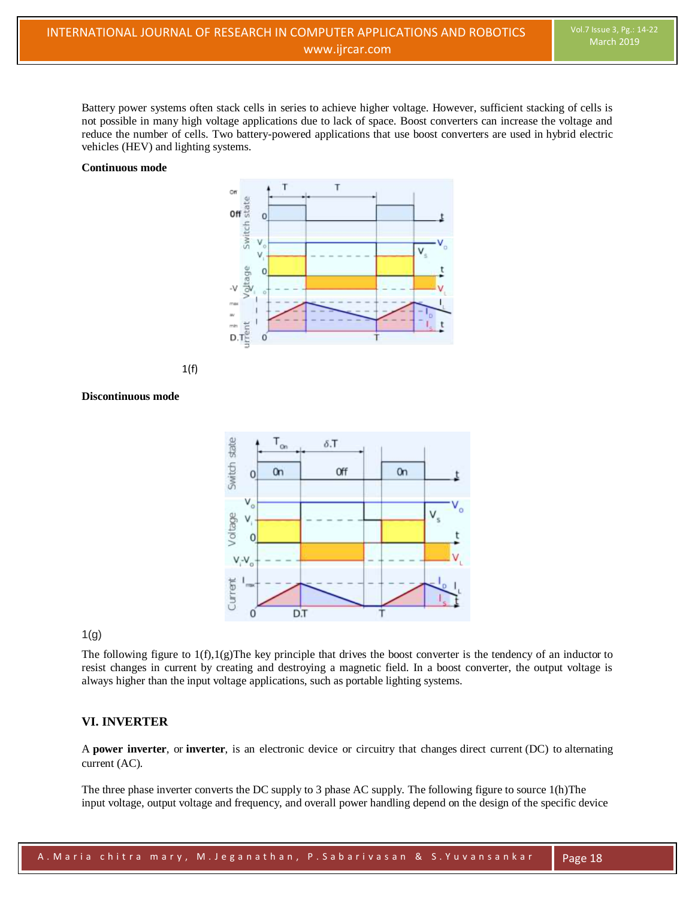Battery power systems often stack cells in series to achieve higher voltage. However, sufficient stacking of cells is not possible in many high voltage applications due to lack of space. Boost converters can increase the voltage and reduce the number of cells. Two battery-powered applications that use boost converters are used in [hybrid electric](https://en.wikipedia.org/wiki/Hybrid_vehicle)  [vehicles](https://en.wikipedia.org/wiki/Hybrid_vehicle) (HEV) and lighting systems.

#### **Continuous mode**





#### **Discontinuous mode**



1(g)

The following figure to  $1(f),1(g)$ The key principle that drives the boost converter is the tendency of an [inductor](https://en.wikipedia.org/wiki/Inductor) to resist changes in current by creating and destroying a magnetic field. In a boost converter, the output voltage is always higher than the input voltage applications, such as portable lighting systems.

#### **VI. INVERTER**

A **power inverter**, or **inverter**, is an electronic device or circuitry that changes [direct current](https://en.wikipedia.org/wiki/Direct_current) (DC) to [alternating](https://en.wikipedia.org/wiki/Alternating_current)  [current](https://en.wikipedia.org/wiki/Alternating_current) (AC).

The three phase inverter converts the DC supply to 3 phase AC supply. The following figure to source 1(h)The input [voltage,](https://en.wikipedia.org/wiki/Voltage) output voltage and frequency, and overall [power](https://en.wikipedia.org/wiki/Electrical_power) handling depend on the design of the specific device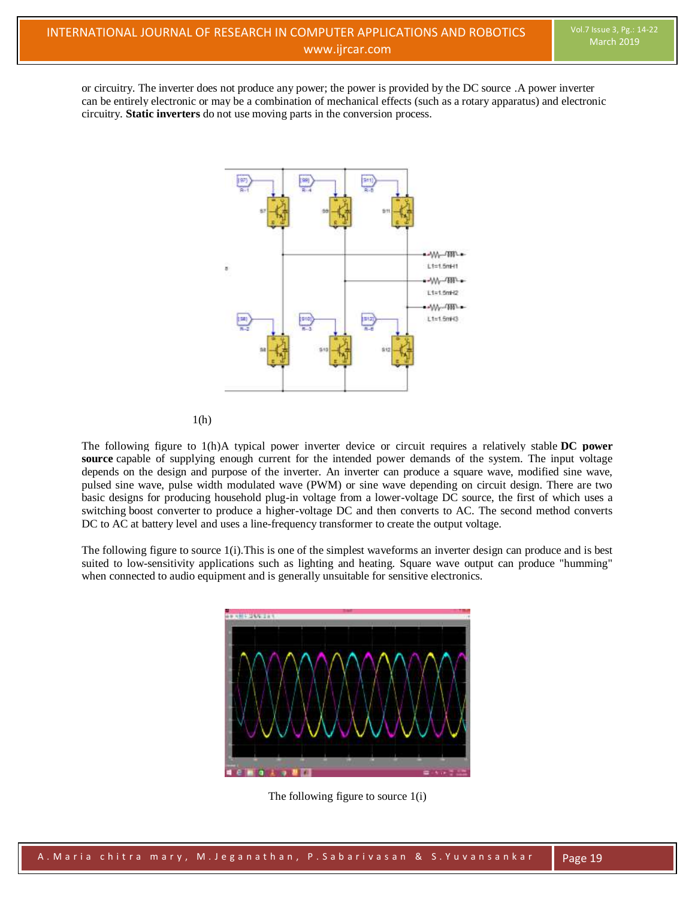or circuitry. The inverter does not produce any power; the power is provided by the DC source .A power inverter can be entirely electronic or may be a combination of mechanical effects (such as a rotary apparatus) and electronic circuitry. **Static inverters** do not use moving parts in the conversion process.



1(h)

The following figure to 1(h)A typical power inverter device or circuit requires a relatively stable **DC power source** capable of supplying enough current for the intended power demands of the system. The input voltage depends on the design and purpose of the inverter. An inverter can produce a square wave, modified sine wave, pulsed sine wave, pulse width modulated wave (PWM) or sine wave depending on circuit design. There are two basic designs for producing household plug-in voltage from a lower-voltage DC source, the first of which uses a switching [boost converter](https://en.wikipedia.org/wiki/Boost_converter) to produce a higher-voltage DC and then converts to AC. The second method converts DC to AC at battery level and uses a [line-frequency](https://en.wikipedia.org/wiki/Utility_frequency) [transformer](https://en.wikipedia.org/wiki/Transformer) to create the output voltage.

The following figure to source 1(i).This is one of the simplest waveforms an inverter design can produce and is best suited to low-sensitivity applications such as lighting and heating. Square wave output can produce "humming" when connected to audio equipment and is generally unsuitable for sensitive electronics.



The following figure to source 1(i)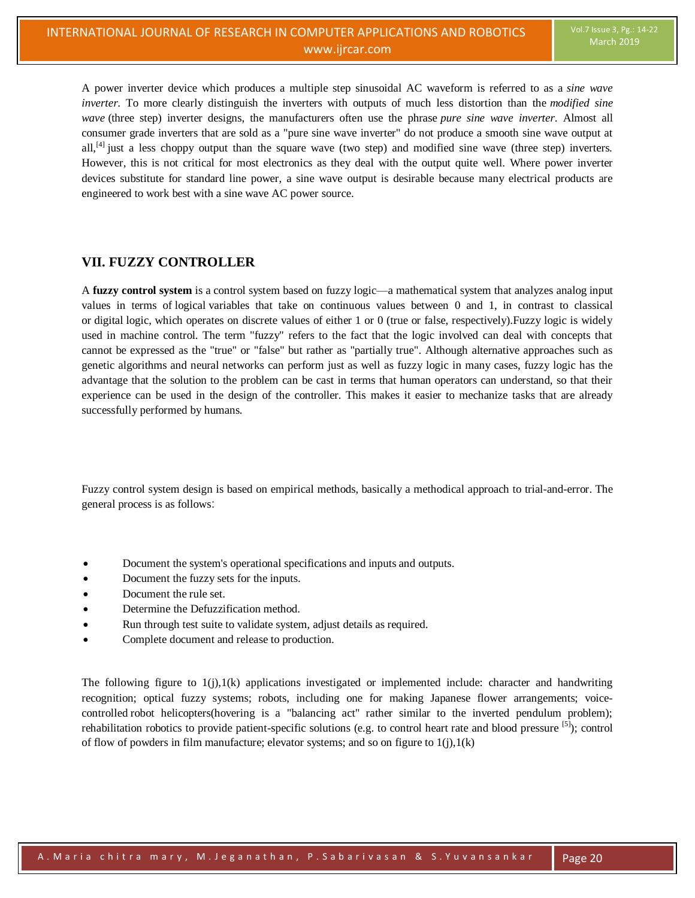A power inverter device which produces a multiple step sinusoidal AC waveform is referred to as a *sine wave inverter*. To more clearly distinguish the inverters with outputs of much less distortion than the *modified sine wave* (three step) inverter designs, the manufacturers often use the phrase *pure sine wave inverter*. Almost all consumer grade inverters that are sold as a "pure sine wave inverter" do not produce a smooth sine wave output at all,<sup>[\[4\]](https://en.wikipedia.org/wiki/Power_inverter#cite_note-Taylor_%E2%80%93_Moon-4)</sup> just a less choppy output than the square wave (two step) and modified sine wave (three step) inverters. However, this is not critical for most electronics as they deal with the output quite well. Where power inverter devices substitute for standard line power, a sine wave output is desirable because many electrical products are engineered to work best with a sine wave AC power source.

## **VII. FUZZY CONTROLLER**

A **fuzzy control system** is a [control system](https://en.wikipedia.org/wiki/Control_system) based on [fuzzy logic—](https://en.wikipedia.org/wiki/Fuzzy_logic)a [mathematical](https://en.wikipedia.org/wiki/Mathematics) system that analyzes [analog](https://en.wikipedia.org/wiki/Analog_signal) input values in terms of [logical](https://en.wikipedia.org/wiki/Mathematical_logic) variables that take on continuous values between 0 and 1, in contrast to classical or [digital](https://en.wikipedia.org/wiki/Digital_data) logic, which operates on discrete values of either 1 or 0 (true or false, respectively).Fuzzy logic is widely used in machine control. The term "fuzzy" refers to the fact that the logic involved can deal with concepts that cannot be expressed as the "true" or "false" but rather as "partially true". Although alternative approaches such as genetic algorithms and neural networks can perform just as well as fuzzy logic in many cases, fuzzy logic has the advantage that the solution to the problem can be cast in terms that human operators can understand, so that their experience can be used in the design of the controller. This makes it easier to mechanize tasks that are already successfully performed by humans.

Fuzzy control system design is based on empirical methods, basically a methodical approach to [trial-and-error.](https://en.wikipedia.org/wiki/Trial-and-error) The general process is as follows:

- Document the system's operational specifications and inputs and outputs.
- Document the fuzzy sets for the inputs.
- Document the rule set.
- Determine the Defuzzification method.
- Run through test suite to validate system, adjust details as required.
- Complete document and release to production.

The following figure to  $1(j)$ ,  $1(k)$  applications investigated or implemented include: character and handwriting recognition; optical fuzzy systems; robots, including one for making Japanese flower arrangements; [voice](https://en.wikipedia.org/wiki/Voice_control)[controlled](https://en.wikipedia.org/wiki/Voice_control) robot helicopters(hovering is a "balancing act" rather similar to the inverted pendulum problem); rehabilitation robotics to provide patient-specific solutions (e.g. to control heart rate and blood pressure [\[5\]](https://en.wikipedia.org/wiki/Fuzzy_control_system#cite_note-sarabadani-5)); control of flow of powders in film manufacture; elevator systems; and so on figure to  $1(j)$ ,  $1(k)$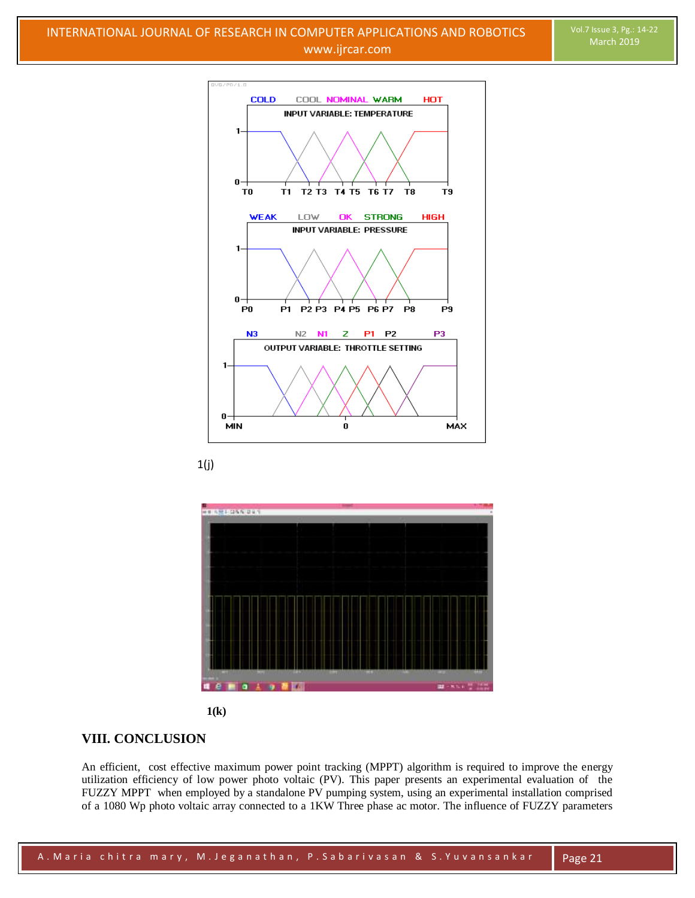







# **VIII. CONCLUSION**

An efficient, cost effective maximum power point tracking (MPPT) algorithm is required to improve the energy utilization efficiency of low power photo voltaic (PV). This paper presents an experimental evaluation of the FUZZY MPPT when employed by a standalone PV pumping system, using an experimental installation comprised of a 1080 Wp photo voltaic array connected to a 1KW Three phase ac motor. The influence of FUZZY parameters